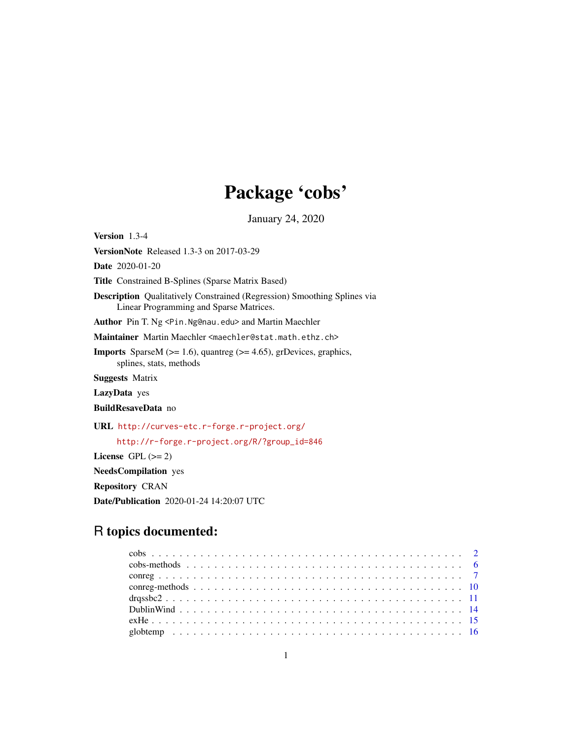# Package 'cobs'

January 24, 2020

<span id="page-0-0"></span>Version 1.3-4

VersionNote Released 1.3-3 on 2017-03-29

Date 2020-01-20

Title Constrained B-Splines (Sparse Matrix Based)

Description Qualitatively Constrained (Regression) Smoothing Splines via Linear Programming and Sparse Matrices.

Author Pin T. Ng <Pin.Ng@nau.edu> and Martin Maechler

Maintainer Martin Maechler <maechler@stat.math.ethz.ch>

**Imports** SparseM ( $>= 1.6$ ), quantreg ( $>= 4.65$ ), grDevices, graphics, splines, stats, methods

Suggests Matrix

LazyData yes

BuildResaveData no

URL <http://curves-etc.r-forge.r-project.org/>

[http://r-forge.r-project.org/R/?group\\_id=846](http://r-forge.r-project.org/R/?group_id=846)

License GPL  $(>= 2)$ 

NeedsCompilation yes

Repository CRAN

Date/Publication 2020-01-24 14:20:07 UTC

# R topics documented: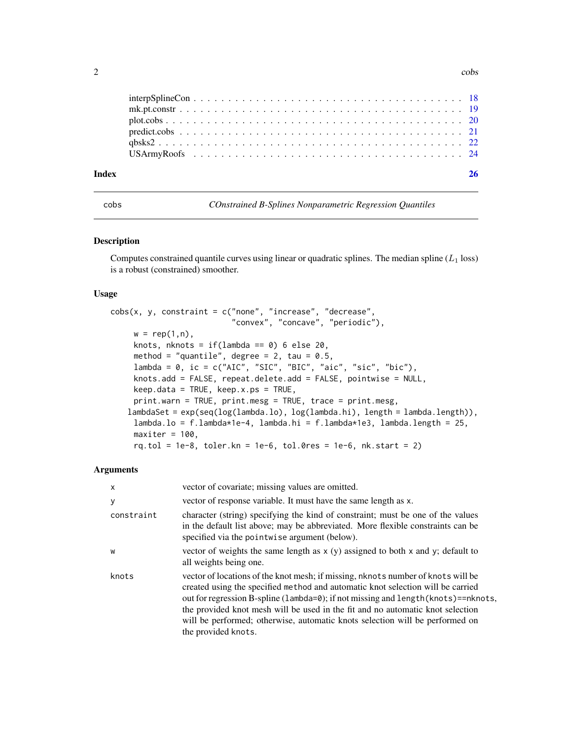<span id="page-1-0"></span> $2<sup>2</sup>$ 

<span id="page-1-1"></span>cobs *COnstrained B-Splines Nonparametric Regression Quantiles*

# **Description**

Computes constrained quantile curves using linear or quadratic splines. The median spline  $(L_1 \text{ loss})$ is a robust (constrained) smoother.

# Usage

```
cobs(x, y, constant = c("none", "increase", "decrease","convex", "concave", "periodic"),
     w = rep(1, n),knots, nknots = if(lambda == 0) 6 else 20,
     method = "quantile", degree = 2, tau = 0.5,
     lambda = 0, ic = c("AIC", "SIC", "BIC", "aic", "sic", "bic"),
     knots.add = FALSE, repeat.delete.add = FALSE, pointwise = NULL,
     keep.data = TRUE, keep.x.ps = TRUE,
     print.warn = TRUE, print.mesg = TRUE, trace = print.mesg,
   lambdaSet = exp(seq(log(lambda.lo), log(lambda.hi), length = lambda.length)),
     lambda.lo = f.lambda*1e-4, lambda.hi = f.lambda*1e3, lambda.length = 25,
     maxiter = 100,
     rq.tol = 1e-8, toler.kn = 1e-6, tol.0res = 1e-6, nk.start = 2)
```

| $\times$   | vector of covariate; missing values are omitted.                                                                                                                                                                                                                                                                                                                                                                                                   |
|------------|----------------------------------------------------------------------------------------------------------------------------------------------------------------------------------------------------------------------------------------------------------------------------------------------------------------------------------------------------------------------------------------------------------------------------------------------------|
| У          | vector of response variable. It must have the same length as x.                                                                                                                                                                                                                                                                                                                                                                                    |
| constraint | character (string) specifying the kind of constraint; must be one of the values<br>in the default list above; may be abbreviated. More flexible constraints can be<br>specified via the pointwise argument (below).                                                                                                                                                                                                                                |
| W          | vector of weights the same length as $x(y)$ assigned to both x and y; default to<br>all weights being one.                                                                                                                                                                                                                                                                                                                                         |
| knots      | vector of locations of the knot mesh; if missing, nknots number of knots will be<br>created using the specified method and automatic knot selection will be carried<br>out for regression B-spline (lambda=0); if not missing and length (knots)==nknots,<br>the provided knot mesh will be used in the fit and no automatic knot selection<br>will be performed; otherwise, automatic knots selection will be performed on<br>the provided knots. |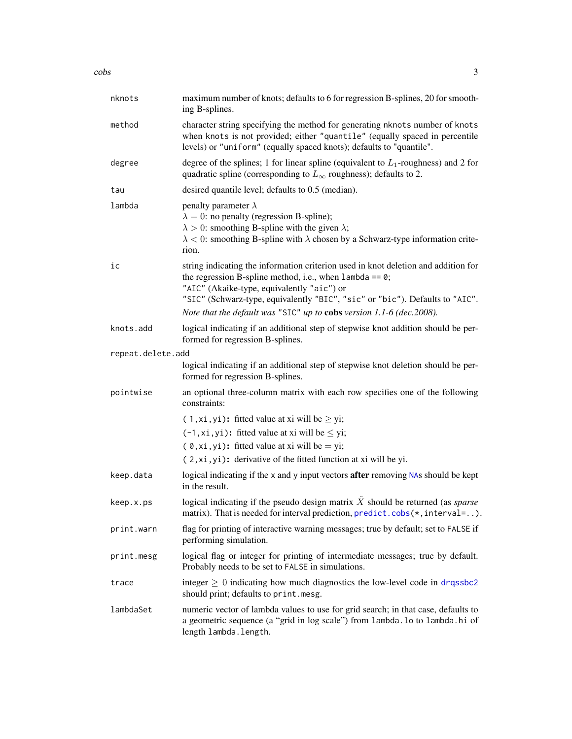<span id="page-2-0"></span>

| nknots            | maximum number of knots; defaults to 6 for regression B-splines, 20 for smooth-<br>ing B-splines.                                                                                                                                                                             |
|-------------------|-------------------------------------------------------------------------------------------------------------------------------------------------------------------------------------------------------------------------------------------------------------------------------|
| method            | character string specifying the method for generating nknots number of knots<br>when knots is not provided; either "quantile" (equally spaced in percentile<br>levels) or "uniform" (equally spaced knots); defaults to "quantile".                                           |
| degree            | degree of the splines; 1 for linear spline (equivalent to $L_1$ -roughness) and 2 for<br>quadratic spline (corresponding to $L_{\infty}$ roughness); defaults to 2.                                                                                                           |
| tau               | desired quantile level; defaults to 0.5 (median).                                                                                                                                                                                                                             |
| lambda            | penalty parameter $\lambda$<br>$\lambda = 0$ : no penalty (regression B-spline);<br>$\lambda > 0$ : smoothing B-spline with the given $\lambda$ ;<br>$\lambda$ < 0: smoothing B-spline with $\lambda$ chosen by a Schwarz-type information crite-<br>rion.                    |
| ic                | string indicating the information criterion used in knot deletion and addition for<br>the regression B-spline method, i.e., when $lambda = 0$ ;<br>"AIC" (Akaike-type, equivalently "aic") or<br>"SIC" (Schwarz-type, equivalently "BIC", "sic" or "bic"). Defaults to "AIC". |
|                   | Note that the default was "SIC" up to cobs version 1.1-6 (dec.2008).                                                                                                                                                                                                          |
| knots.add         | logical indicating if an additional step of stepwise knot addition should be per-<br>formed for regression B-splines.                                                                                                                                                         |
| repeat.delete.add |                                                                                                                                                                                                                                                                               |
|                   | logical indicating if an additional step of stepwise knot deletion should be per-<br>formed for regression B-splines.                                                                                                                                                         |
| pointwise         | an optional three-column matrix with each row specifies one of the following<br>constraints:                                                                                                                                                                                  |
|                   | $(1, xi, yi)$ : fitted value at xi will be $\geq yi$ ;                                                                                                                                                                                                                        |
|                   | $(-1, xi, yi)$ : fitted value at xi will be $\leq yi$ ;                                                                                                                                                                                                                       |
|                   | $(0, xi, yi)$ : fitted value at xi will be = yi;                                                                                                                                                                                                                              |
|                   | (2, xi, yi): derivative of the fitted function at xi will be yi.                                                                                                                                                                                                              |
| keep.data         | logical indicating if the x and y input vectors after removing NAs should be kept<br>in the result.                                                                                                                                                                           |
| keep.x.ps         | logical indicating if the pseudo design matrix $\tilde{X}$ should be returned (as <i>sparse</i><br>matrix). That is needed for interval prediction, predict.cobs(*, interval=).                                                                                               |
| print.warn        | flag for printing of interactive warning messages; true by default; set to FALSE if<br>performing simulation.                                                                                                                                                                 |
| print.mesg        | logical flag or integer for printing of intermediate messages; true by default.<br>Probably needs to be set to FALSE in simulations.                                                                                                                                          |
| trace             | integer $\geq 0$ indicating how much diagnostics the low-level code in drqssbc2<br>should print; defaults to print.mesg.                                                                                                                                                      |
| lambdaSet         | numeric vector of lambda values to use for grid search; in that case, defaults to<br>a geometric sequence (a "grid in log scale") from lambda. lo to lambda. hi of<br>length lambda. length.                                                                                  |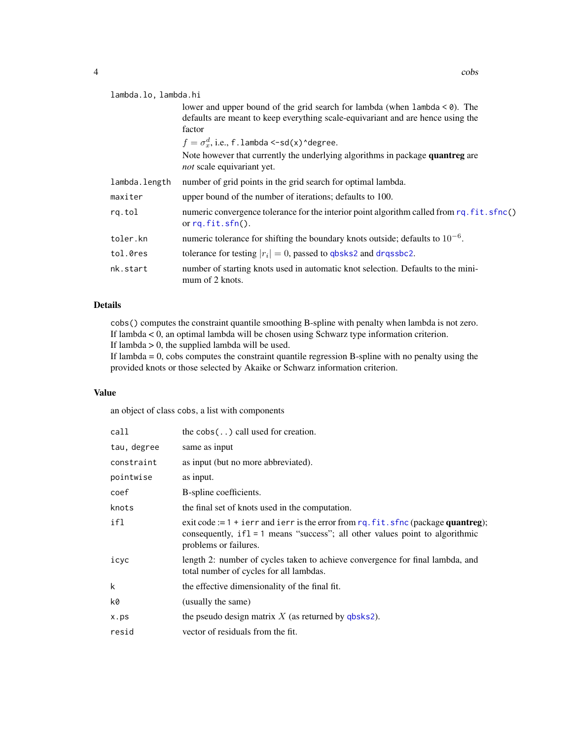#### <span id="page-3-0"></span>lambda.lo, lambda.hi

lower and upper bound of the grid search for lambda (when lambda < 0). The defaults are meant to keep everything scale-equivariant and are hence using the factor  $f = \sigma_x^d$ , i.e., f.lambda <-sd(x)^degree. Note however that currently the underlying algorithms in package quantreg are *not* scale equivariant yet. lambda.length number of grid points in the grid search for optimal lambda. maxiter upper bound of the number of iterations; defaults to 100. rq.tol numeric convergence tolerance for the interior point algorithm called from [rq.fit.sfnc\(](#page-0-0)) or [rq.fit.sfn\(](#page-0-0)). toler.kn numeric tolerance for shifting the boundary knots outside; defaults to  $10^{-6}$ . tol.0res tolerance for testing  $|r_i| = 0$ , passed to [qbsks2](#page-21-1) and [drqssbc2](#page-10-1). nk.start number of starting knots used in automatic knot selection. Defaults to the minimum of 2 knots.

#### Details

cobs() computes the constraint quantile smoothing B-spline with penalty when lambda is not zero. If lambda < 0, an optimal lambda will be chosen using Schwarz type information criterion. If lambda > 0, the supplied lambda will be used.

If lambda  $= 0$ , cobs computes the constraint quantile regression B-spline with no penalty using the provided knots or those selected by Akaike or Schwarz information criterion.

#### Value

an object of class cobs, a list with components

| call        | the $\cosh(.)$ call used for creation.                                                                                                                                                           |
|-------------|--------------------------------------------------------------------------------------------------------------------------------------------------------------------------------------------------|
| tau, degree | same as input                                                                                                                                                                                    |
| constraint  | as input (but no more abbreviated).                                                                                                                                                              |
| pointwise   | as input.                                                                                                                                                                                        |
| coef        | B-spline coefficients.                                                                                                                                                                           |
| knots       | the final set of knots used in the computation.                                                                                                                                                  |
| ifl         | exit code := $1 + i$ err and ierr is the error from rq. fit. sfnc (package quantreg);<br>consequently, $if1 = 1$ means "success"; all other values point to algorithmic<br>problems or failures. |
| icyc        | length 2: number of cycles taken to achieve convergence for final lambda, and<br>total number of cycles for all lambdas.                                                                         |
| k           | the effective dimensionality of the final fit.                                                                                                                                                   |
| k0          | (usually the same)                                                                                                                                                                               |
| x.ps        | the pseudo design matrix $X$ (as returned by qbsks2).                                                                                                                                            |
| resid       | vector of residuals from the fit.                                                                                                                                                                |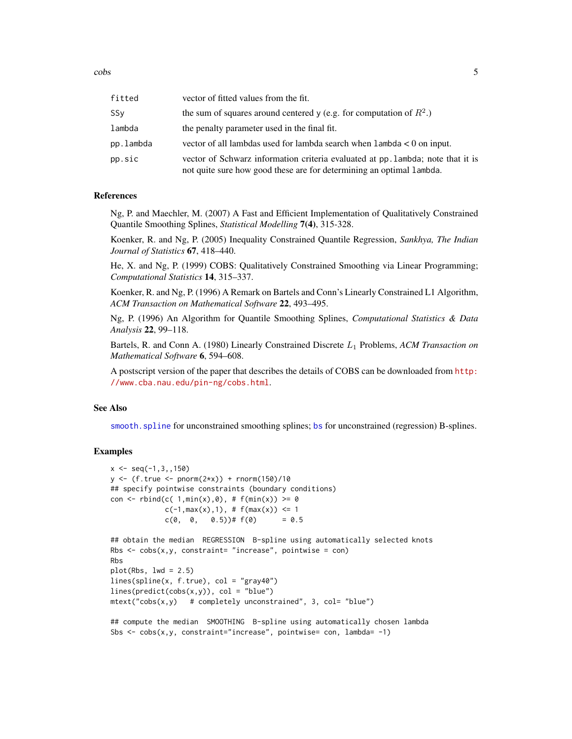<span id="page-4-0"></span>cobs 5

| fitted    | vector of fitted values from the fit.                                                                                                                   |
|-----------|---------------------------------------------------------------------------------------------------------------------------------------------------------|
| SSy       | the sum of squares around centered y (e.g. for computation of $R^2$ .)                                                                                  |
| lambda    | the penalty parameter used in the final fit.                                                                                                            |
| pp.lambda | vector of all lambdas used for lambda search when $l$ ambda $\lt 0$ on input.                                                                           |
| pp.sic    | vector of Schwarz information criteria evaluated at pp. lambda; note that it is<br>not quite sure how good these are for determining an optimal lambda. |

#### References

Ng, P. and Maechler, M. (2007) A Fast and Efficient Implementation of Qualitatively Constrained Quantile Smoothing Splines, *Statistical Modelling* 7(4), 315-328.

Koenker, R. and Ng, P. (2005) Inequality Constrained Quantile Regression, *Sankhya, The Indian Journal of Statistics* 67, 418–440.

He, X. and Ng, P. (1999) COBS: Qualitatively Constrained Smoothing via Linear Programming; *Computational Statistics* 14, 315–337.

Koenker, R. and Ng, P. (1996) A Remark on Bartels and Conn's Linearly Constrained L1 Algorithm, *ACM Transaction on Mathematical Software* 22, 493–495.

Ng, P. (1996) An Algorithm for Quantile Smoothing Splines, *Computational Statistics & Data Analysis* 22, 99–118.

Bartels, R. and Conn A. (1980) Linearly Constrained Discrete L<sup>1</sup> Problems, *ACM Transaction on Mathematical Software* 6, 594–608.

A postscript version of the paper that describes the details of COBS can be downloaded from [http:](http://www.cba.nau.edu/pin-ng/cobs.html) [//www.cba.nau.edu/pin-ng/cobs.html](http://www.cba.nau.edu/pin-ng/cobs.html).

#### See Also

[smooth.spline](#page-0-0) for unconstrained smoothing splines; [bs](#page-0-0) for unconstrained (regression) B-splines.

#### Examples

```
x \le - seq(-1, 3, 150)
y \le - (f.true \le - pnorm(2*x)) + rnorm(150)/10
## specify pointwise constraints (boundary conditions)
con <- rbind(c( 1, min(x), 0), # f(min(x)) >= 0c(-1,max(x),1), # f(max(x)) \le 1c(0, 0, 0.5))# f(0) = 0.5## obtain the median REGRESSION B-spline using automatically selected knots
Rbs \leq cobs(x,y, constraint= "increase", pointwise = con)
Rbs
plot(Rbs, lwd = 2.5)lines(spline(x, f.true), col = "gray40")
lines(predict(cobs(x,y)), col = "blue")mtext('cobs(x,y) # completely unconstrained", 3, col='blue")
```
## compute the median SMOOTHING B-spline using automatically chosen lambda Sbs  $\leq$  cobs(x,y, constraint="increase", pointwise= con, lambda= -1)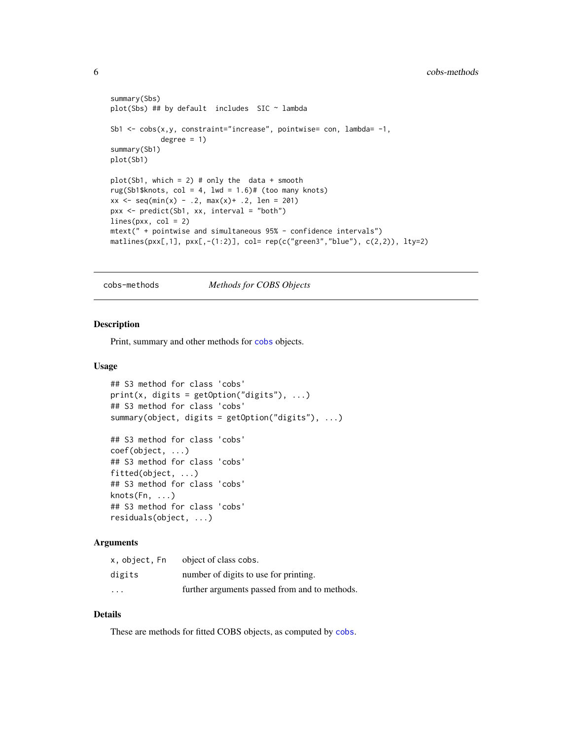```
summary(Sbs)
plot(Sbs) ## by default includes SIC ~ lambda
Sb1 \leq cobs(x,y, constraint="increase", pointwise= con, lambda= -1,
            degree = 1)
summary(Sb1)
plot(Sb1)
plot(Sb1, which = 2) # only the data + smooth
rug(Sb1$knots, col = 4, 1wd = 1.6)# (too many knots)
xx \leq -\text{seq}(\min(x) - .2, \max(x) + .2, \text{ len} = 201)pxx <- predict(Sb1, xx, interval = "both")
lines(pxx, col = 2)mtext(" + pointwise and simultaneous 95% - confidence intervals")
matlines(pxx[,1], pxx[,-(1:2)], col= rep(c("green3","blue"), c(2,2)), lty=2)
```
cobs-methods *Methods for COBS Objects*

# <span id="page-5-1"></span>Description

Print, summary and other methods for [cobs](#page-1-1) objects.

#### Usage

```
## S3 method for class 'cobs'
print(x, digits = getOption("digits"), ...)## S3 method for class 'cobs'
summary(object, digits = getOption("digits"), ...)
## S3 method for class 'cobs'
coef(object, ...)
## S3 method for class 'cobs'
fitted(object, ...)
## S3 method for class 'cobs'
knots(Fn, ...)
## S3 method for class 'cobs'
residuals(object, ...)
```
# **Arguments**

| x.object.Fn             | object of class cobs.                         |
|-------------------------|-----------------------------------------------|
| digits                  | number of digits to use for printing.         |
| $\cdot$ $\cdot$ $\cdot$ | further arguments passed from and to methods. |

# Details

These are methods for fitted COBS objects, as computed by [cobs](#page-1-1).

<span id="page-5-0"></span>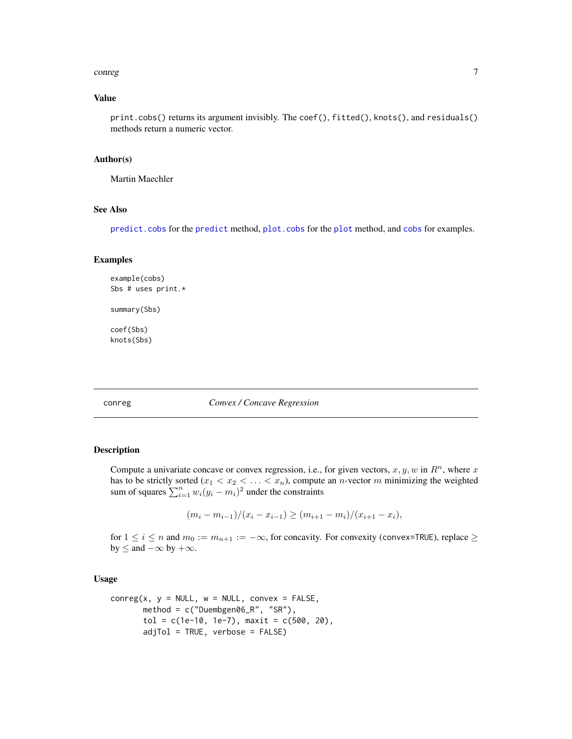#### <span id="page-6-0"></span>conreg to the control of the control of the control of the control of the control of the control of the control of the control of the control of the control of the control of the control of the control of the control of th

#### Value

print.cobs() returns its argument invisibly. The coef(), fitted(), knots(), and residuals() methods return a numeric vector.

#### Author(s)

Martin Maechler

# See Also

[predict.cobs](#page-20-1) for the [predict](#page-0-0) method, [plot.cobs](#page-19-1) for the [plot](#page-0-0) method, and [cobs](#page-1-1) for examples.

#### Examples

```
example(cobs)
Sbs # uses print.*
summary(Sbs)
coef(Sbs)
```
knots(Sbs)

#### <span id="page-6-1"></span>conreg *Convex / Concave Regression*

#### Description

Compute a univariate concave or convex regression, i.e., for given vectors,  $x, y, w$  in  $R<sup>n</sup>$ , where x has to be strictly sorted  $(x_1 < x_2 < \ldots < x_n)$ , compute an *n*-vector *m* minimizing the weighted sum of squares  $\sum_{i=1}^{n} w_i (y_i - m_i)^2$  under the constraints

$$
(m_i - m_{i-1})/(x_i - x_{i-1}) \ge (m_{i+1} - m_i)/(x_{i+1} - x_i),
$$

for  $1 \le i \le n$  and  $m_0 := m_{n+1} := -\infty$ , for concavity. For convexity (convex=TRUE), replace  $\ge$ by  $\leq$  and  $-\infty$  by  $+\infty$ .

# Usage

```
conreg(x, y = NULL, w = NULL, convex = FALSE,method = c("Duembgen06_R", "SR"),
       tol = c(1e-10, 1e-7), maxit = c(500, 20),adjTol = TRUE, verbose = FALSE)
```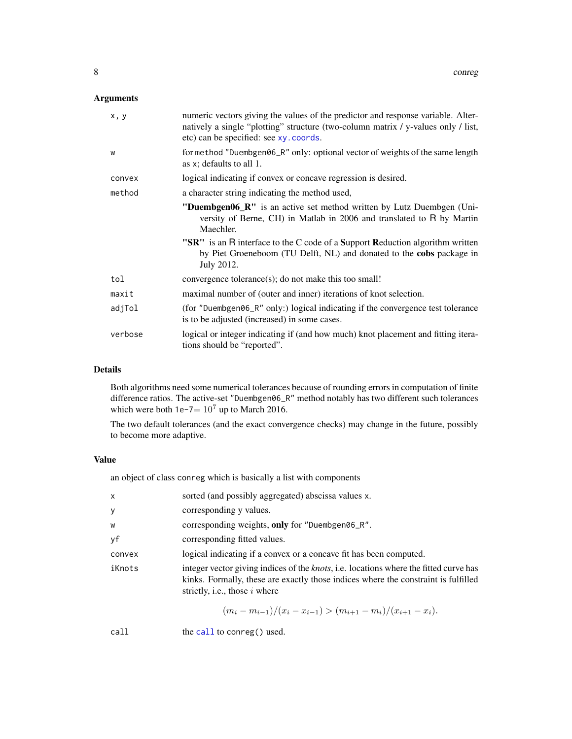# <span id="page-7-0"></span>Arguments

| x, y    | numeric vectors giving the values of the predictor and response variable. Alter-<br>natively a single "plotting" structure (two-column matrix / y-values only / list,<br>etc) can be specified: see xy. coords.                                                                                                      |
|---------|----------------------------------------------------------------------------------------------------------------------------------------------------------------------------------------------------------------------------------------------------------------------------------------------------------------------|
| W       | for method "Duembgen06_R" only: optional vector of weights of the same length<br>as $x$ ; defaults to all 1.                                                                                                                                                                                                         |
| convex  | logical indicating if convex or concave regression is desired.                                                                                                                                                                                                                                                       |
| method  | a character string indicating the method used,                                                                                                                                                                                                                                                                       |
|         | "Duembgen06_R" is an active set method written by Lutz Duembgen (Uni-<br>versity of Berne, CH) in Matlab in 2006 and translated to R by Martin<br>Maechler.<br>"SR" is an R interface to the C code of a Support Reduction algorithm written<br>by Piet Groeneboom (TU Delft, NL) and donated to the cobs package in |
|         | July 2012.                                                                                                                                                                                                                                                                                                           |
| tol     | convergence tolerance(s); do not make this too small!                                                                                                                                                                                                                                                                |
| maxit   | maximal number of (outer and inner) iterations of knot selection.                                                                                                                                                                                                                                                    |
| adjTol  | (for "Duembgen06_R" only:) logical indicating if the convergence test tolerance<br>is to be adjusted (increased) in some cases.                                                                                                                                                                                      |
| verbose | logical or integer indicating if (and how much) knot placement and fitting itera-<br>tions should be "reported".                                                                                                                                                                                                     |

# Details

Both algorithms need some numerical tolerances because of rounding errors in computation of finite difference ratios. The active-set "Duembgen06\_R" method notably has two different such tolerances which were both  $1e-7= 10^7$  up to March 2016.

The two default tolerances (and the exact convergence checks) may change in the future, possibly to become more adaptive.

#### Value

an object of class conreg which is basically a list with components

| X      | sorted (and possibly aggregated) abscissa values x.                                                                                                                                                                    |
|--------|------------------------------------------------------------------------------------------------------------------------------------------------------------------------------------------------------------------------|
| y      | corresponding y values.                                                                                                                                                                                                |
| W      | corresponding weights, only for "Duembgen06_R".                                                                                                                                                                        |
| уf     | corresponding fitted values.                                                                                                                                                                                           |
| convex | logical indicating if a convex or a concave fit has been computed.                                                                                                                                                     |
| iKnots | integer vector giving indices of the <i>knots</i> , i.e. locations where the fitted curve has<br>kinks. Formally, these are exactly those indices where the constraint is fulfilled<br>strictly, i.e., those $i$ where |

$$
(m_i - m_{i-1})/(x_i - x_{i-1}) > (m_{i+1} - m_i)/(x_{i+1} - x_i).
$$

[call](#page-0-0) the call to conreg() used.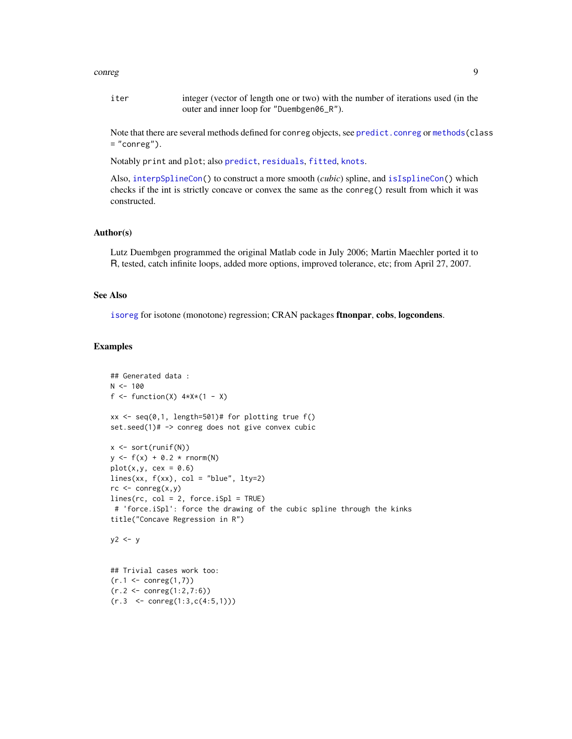#### <span id="page-8-0"></span>conreg to the control of the control of the control of the control of the control of the control of the control of the control of the control of the control of the control of the control of the control of the control of th

iter integer (vector of length one or two) with the number of iterations used (in the outer and inner loop for "Duembgen06\_R").

Note that there are several methods defined for conreg objects, see [predict.conreg](#page-9-1) or [methods\(](#page-0-0)class  $=$  "conreg").

Notably print and plot; also [predict](#page-0-0), [residuals](#page-0-0), [fitted](#page-0-0), [knots](#page-0-0).

Also, [interpSplineCon\(](#page-17-1)) to construct a more smooth (*cubic*) spline, and [isIsplineCon\(](#page-17-2)) which checks if the int is strictly concave or convex the same as the conreg() result from which it was constructed.

#### Author(s)

Lutz Duembgen programmed the original Matlab code in July 2006; Martin Maechler ported it to R, tested, catch infinite loops, added more options, improved tolerance, etc; from April 27, 2007.

#### See Also

[isoreg](#page-0-0) for isotone (monotone) regression; CRAN packages **ftnonpar, cobs, logcondens.** 

#### Examples

 $(r.3 \leq \text{conreg}(1:3, c(4:5,1)))$ 

```
## Generated data :
N < - 100f \le function(X) 4 \times X \times (1 - X)xx \leq -\text{seq}(0,1, \text{ length=501})# for plotting true f()
set.seed(1)# -> conreg does not give convex cubic
x \leftarrow sort(runif(N))y \le f(x) + 0.2 * \text{norm}(N)plot(x,y, cex = 0.6)lines(xx, f(xx), col = "blue", lty=2)rc \leftarrow \text{conreg}(x, y)lines(rc, col = 2, force.ispl = TRUE)# 'force.iSpl': force the drawing of the cubic spline through the kinks
title("Concave Regression in R")
y2 \leq -y## Trivial cases work too:
(r.1 \leq conreg(1,7))(r.2 <- conreg(1:2,7:6))
```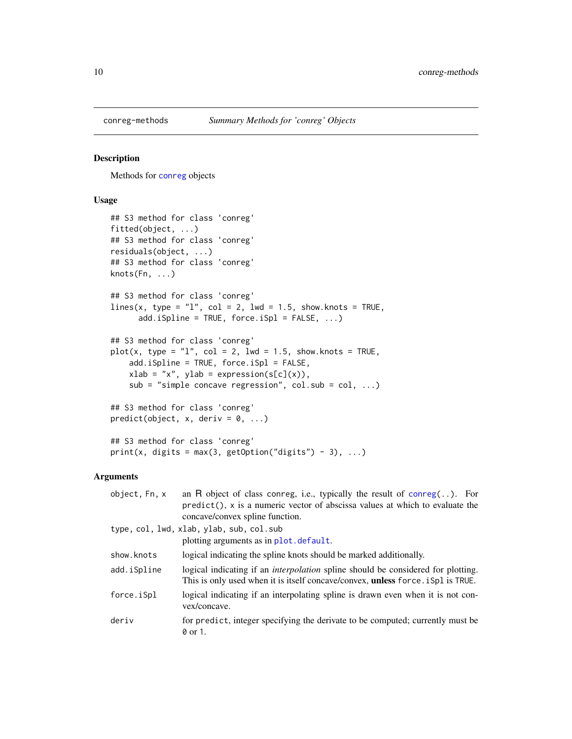<span id="page-9-0"></span>

# <span id="page-9-1"></span>Description

Methods for [conreg](#page-6-1) objects

# Usage

```
## S3 method for class 'conreg'
fitted(object, ...)
## S3 method for class 'conreg'
residuals(object, ...)
## S3 method for class 'conreg'
knots(Fn, ...)
## S3 method for class 'conreg'
lines(x, type = "1", col = 2, lwd = 1.5, show.knots = TRUE,
      add.iSpline = TRUE, force.iSpl = FALSE, ...)
## S3 method for class 'conreg'
plot(x, type = "l", col = 2, lwd = 1.5, show.knots = TRUE,add.iSpline = TRUE, force.iSpl = FALSE,
    xlab = "x", ylab = expression(s[c](x)),sub = "simple concave regression", col.sub = col, ...)
## S3 method for class 'conreg'
predict(object, x, deriv = 0, ...)## S3 method for class 'conreg'
```
print(x, digits = max(3, getOption("digits") - 3), ...)

| object, Fn, x | an R object of class conreg, i.e., typically the result of $\text{conreg}(\,.\,).$ For<br>$predict(), x is a numeric vector of abscissa values at which to evaluate the$<br>concave/convex spline function. |
|---------------|-------------------------------------------------------------------------------------------------------------------------------------------------------------------------------------------------------------|
|               | type, col, lwd, xlab, ylab, sub, col.sub                                                                                                                                                                    |
|               | plotting arguments as in plot. default.                                                                                                                                                                     |
| show.knots    | logical indicating the spline knots should be marked additionally.                                                                                                                                          |
| add.iSpline   | logical indicating if an <i>interpolation</i> spline should be considered for plotting.<br>This is only used when it is itself concave/convex, <b>unless</b> force is pl is TRUE.                           |
| force.iSpl    | logical indicating if an interpolating spline is drawn even when it is not con-<br>vex/concave.                                                                                                             |
| deriv         | for predict, integer specifying the derivate to be computed; currently must be<br>0 or 1.                                                                                                                   |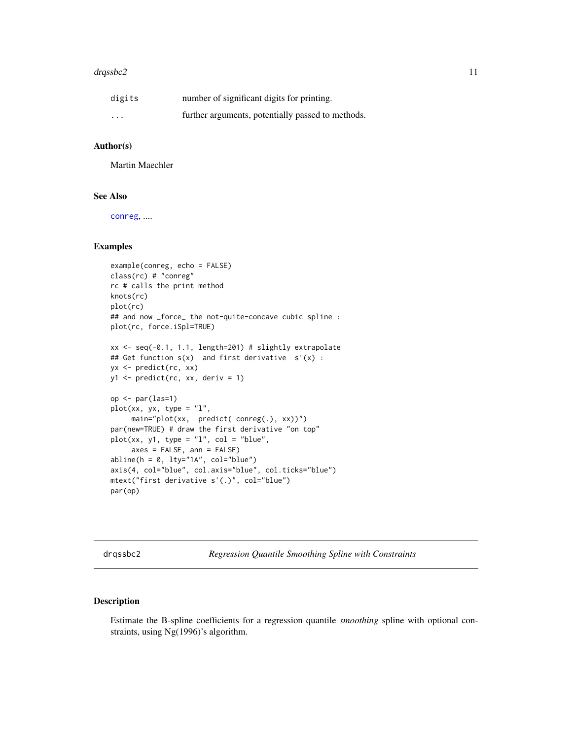#### <span id="page-10-0"></span>drqssbc2 11

| digits                  | number of significant digits for printing.        |
|-------------------------|---------------------------------------------------|
| $\cdot$ $\cdot$ $\cdot$ | further arguments, potentially passed to methods. |

# Author(s)

Martin Maechler

#### See Also

[conreg](#page-6-1), ....

# Examples

```
example(conreg, echo = FALSE)
class(rc) # "conreg"
rc # calls the print method
knots(rc)
plot(rc)
## and now _force_ the not-quite-concave cubic spline :
plot(rc, force.iSpl=TRUE)
xx <- seq(-0.1, 1.1, length=201) # slightly extrapolate
## Get function s(x) and first derivative s'(x) :
yx <- predict(rc, xx)
y1 <- predict(rc, xx, deriv = 1)
op \leq par(las=1)
plot(xx, yx, type = "l",main="plot(xx, predict( conreg(.), xx))")
par(new=TRUE) # draw the first derivative "on top"
plot(xx, y1, type = "l", col = "blue",axes = FALSE, ann = FALSE)
abline(h = 0, 1ty="1A", col="blue")axis(4, col="blue", col.axis="blue", col.ticks="blue")
mtext("first derivative s'(.)", col="blue")
par(op)
```
<span id="page-10-1"></span>drqssbc2 *Regression Quantile Smoothing Spline with Constraints*

# Description

Estimate the B-spline coefficients for a regression quantile *smoothing* spline with optional constraints, using Ng(1996)'s algorithm.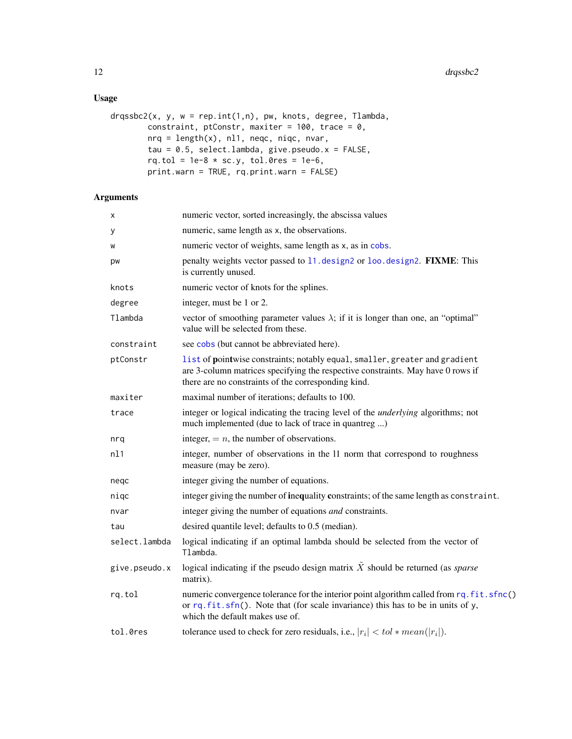# <span id="page-11-0"></span>Usage

```
drqssbc2(x, y, w = rep.int(1,n), pw, knots, degree, Tlambda,
        constraint, ptConstr, maxiter = 100, trace = 0,
        nrq = length(x), nl1, neqc, niqc, nvar,
        tau = 0.5, select.lambda, give.pseudo.x = FALSE,
        rq.tol = 1e-8 * sc.y, tol.0res = 1e-6,print.warn = TRUE, rq.print.warn = FALSE)
```

| х             | numeric vector, sorted increasingly, the abscissa values                                                                                                                                                              |
|---------------|-----------------------------------------------------------------------------------------------------------------------------------------------------------------------------------------------------------------------|
| у             | numeric, same length as x, the observations.                                                                                                                                                                          |
| W             | numeric vector of weights, same length as x, as in cobs.                                                                                                                                                              |
| pw            | penalty weights vector passed to 11. design2 or loo. design2. FIXME: This<br>is currently unused.                                                                                                                     |
| knots         | numeric vector of knots for the splines.                                                                                                                                                                              |
| degree        | integer, must be 1 or 2.                                                                                                                                                                                              |
| Tlambda       | vector of smoothing parameter values $\lambda$ ; if it is longer than one, an "optimal"<br>value will be selected from these.                                                                                         |
| constraint    | see cobs (but cannot be abbreviated here).                                                                                                                                                                            |
| ptConstr      | list of pointwise constraints; notably equal, smaller, greater and gradient<br>are 3-column matrices specifying the respective constraints. May have 0 rows if<br>there are no constraints of the corresponding kind. |
| maxiter       | maximal number of iterations; defaults to 100.                                                                                                                                                                        |
| trace         | integer or logical indicating the tracing level of the <i>underlying</i> algorithms; not<br>much implemented (due to lack of trace in quantreg )                                                                      |
| nrq           | integer, $= n$ , the number of observations.                                                                                                                                                                          |
| nl1           | integer, number of observations in the 11 norm that correspond to roughness<br>measure (may be zero).                                                                                                                 |
| negc          | integer giving the number of equations.                                                                                                                                                                               |
| niqc          | integer giving the number of inequality constraints; of the same length as constraint.                                                                                                                                |
| nvar          | integer giving the number of equations <i>and</i> constraints.                                                                                                                                                        |
| tau           | desired quantile level; defaults to 0.5 (median).                                                                                                                                                                     |
| select.lambda | logical indicating if an optimal lambda should be selected from the vector of<br>Tlambda.                                                                                                                             |
| give.pseudo.x | logical indicating if the pseudo design matrix $\tilde{X}$ should be returned (as <i>sparse</i><br>matrix).                                                                                                           |
| rq.tol        | numeric convergence tolerance for the interior point algorithm called from rq. fit.sfnc()<br>or $rq. fit. sfn()$ . Note that (for scale invariance) this has to be in units of y,<br>which the default makes use of.  |
| tol.0res      | tolerance used to check for zero residuals, i.e., $ r_i  < tol * mean( r_i )$ .                                                                                                                                       |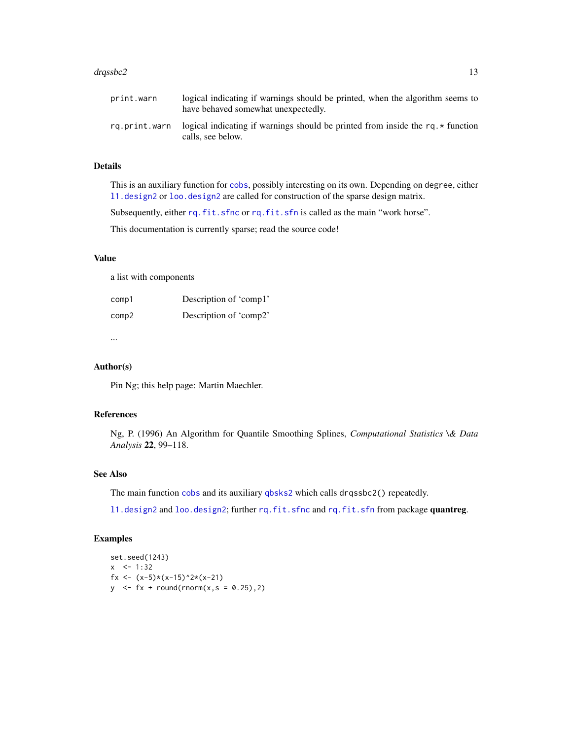#### <span id="page-12-0"></span>drqssbc2 13

# Details

This is an auxiliary function for [cobs](#page-1-1), possibly interesting on its own. Depending on degree, either [l1.design2](#page-0-0) or [loo.design2](#page-0-0) are called for construction of the sparse design matrix.

Subsequently, either [rq.fit.sfnc](#page-0-0) or [rq.fit.sfn](#page-0-0) is called as the main "work horse".

This documentation is currently sparse; read the source code!

#### Value

a list with components

| comp1 | Description of 'comp1' |
|-------|------------------------|
| comp2 | Description of 'comp2' |

...

# Author(s)

Pin Ng; this help page: Martin Maechler.

# References

Ng, P. (1996) An Algorithm for Quantile Smoothing Splines, *Computational Statistics \& Data Analysis* 22, 99–118.

# See Also

The main function [cobs](#page-1-1) and its auxiliary [qbsks2](#page-21-1) which calls drqssbc2() repeatedly.

11.design2 and [loo.design2](#page-0-0); further [rq.fit.sfnc](#page-0-0) and [rq.fit.sfn](#page-0-0) from package quantreg.

# Examples

set.seed(1243)  $x \le -1:32$ fx <-  $(x-5)*(x-15)^2*(x-21)$  $y \le -fx + round(rnorm(x, s = 0.25), 2)$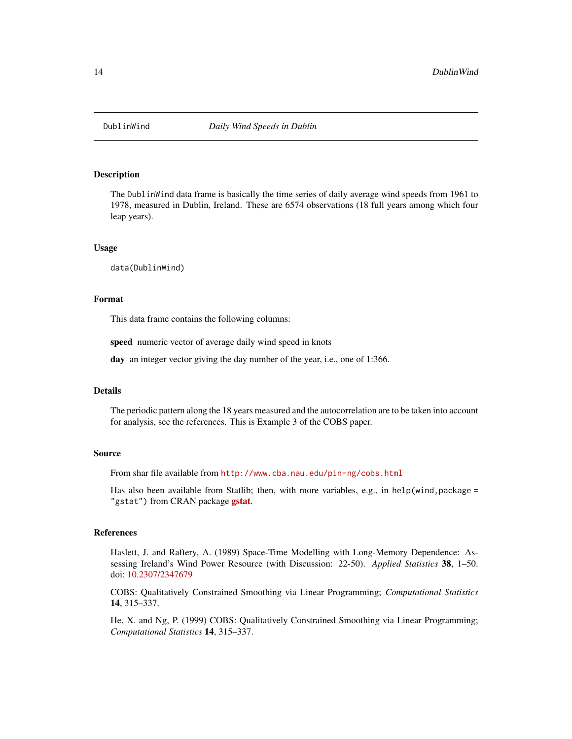<span id="page-13-0"></span>

#### Description

The DublinWind data frame is basically the time series of daily average wind speeds from 1961 to 1978, measured in Dublin, Ireland. These are 6574 observations (18 full years among which four leap years).

#### Usage

data(DublinWind)

# Format

This data frame contains the following columns:

speed numeric vector of average daily wind speed in knots

day an integer vector giving the day number of the year, i.e., one of 1:366.

#### Details

The periodic pattern along the 18 years measured and the autocorrelation are to be taken into account for analysis, see the references. This is Example 3 of the COBS paper.

#### Source

From shar file available from <http://www.cba.nau.edu/pin-ng/cobs.html>

Has also been available from Statlib; then, with more variables, e.g., in help(wind, package = "[gstat](https://CRAN.R-project.org/package=gstat)") from CRAN package **gstat**.

### References

Haslett, J. and Raftery, A. (1989) Space-Time Modelling with Long-Memory Dependence: Assessing Ireland's Wind Power Resource (with Discussion: 22-50). *Applied Statistics* 38, 1–50. doi: [10.2307/2347679](https://doi.org/10.2307/2347679)

COBS: Qualitatively Constrained Smoothing via Linear Programming; *Computational Statistics* 14, 315–337.

He, X. and Ng, P. (1999) COBS: Qualitatively Constrained Smoothing via Linear Programming; *Computational Statistics* 14, 315–337.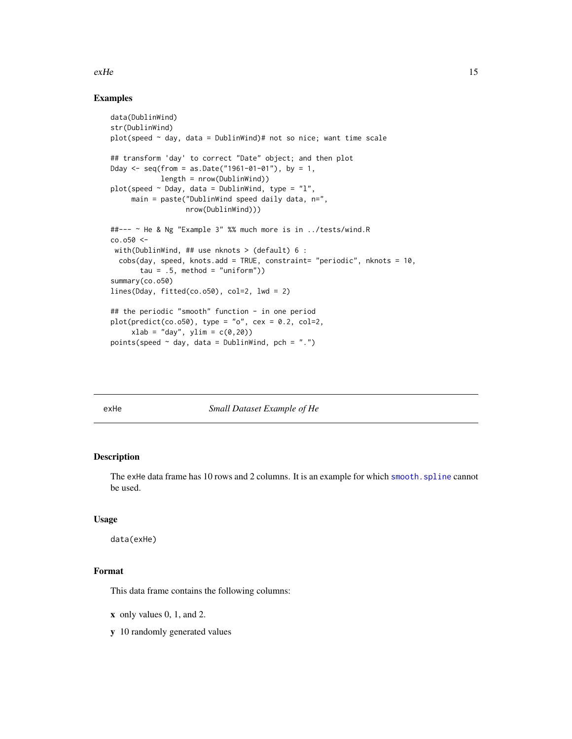#### <span id="page-14-0"></span> $e^{\lambda t}$  exHe 15

## Examples

```
data(DublinWind)
str(DublinWind)
plot(speed ~ day, data = DublinWindow)# not so nice; want time scale
## transform 'day' to correct "Date" object; and then plot
Dday \leq seq(from = as.Date("1961-01-01"), by = 1,
            length = nrow(DublinWind))
plot(speed \sim Dday, data = DublinWind, type = "l",main = paste("DublinWind speed daily data, n=",
                  nrow(DublinWind)))
##--- ~ He & Ng "Example 3" %% much more is in ../tests/wind.R
co.o50 <-
with(DublinWind, ## use nknots > (default) 6 :
 cobs(day, speed, knots.add = TRUE, constraint= "periodic", nknots = 10,
       tau = .5, method = "uniform"))
summary(co.o50)
lines(Dday, fitted(co.o50), col=2, lwd = 2)
## the periodic "smooth" function - in one period
plot(predict(co. o50), type = "o", cex = 0.2, col=2,
     xlab = "day", ylim = c(0, 20))points(speed \sim day, data = DublinWind, pch = ".")
```
exHe *Small Dataset Example of He*

# Description

The exHe data frame has 10 rows and 2 columns. It is an example for which smooth. spline cannot be used.

#### Usage

data(exHe)

# Format

This data frame contains the following columns:

- x only values 0, 1, and 2.
- y 10 randomly generated values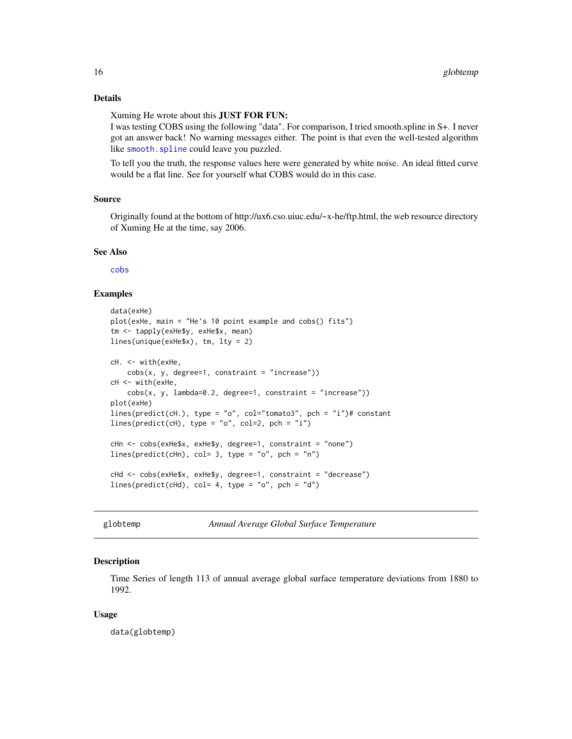# <span id="page-15-0"></span>Details

#### Xuming He wrote about this JUST FOR FUN:

I was testing COBS using the following "data". For comparison, I tried smooth.spline in S+. I never got an answer back! No warning messages either. The point is that even the well-tested algorithm like [smooth.spline](#page-0-0) could leave you puzzled.

To tell you the truth, the response values here were generated by white noise. An ideal fitted curve would be a flat line. See for yourself what COBS would do in this case.

#### Source

Originally found at the bottom of http://ux6.cso.uiuc.edu/~x-he/ftp.html, the web resource directory of Xuming He at the time, say 2006.

#### See Also

[cobs](#page-1-1)

#### Examples

```
data(exHe)
plot(exHe, main = "He's 10 point example and cobs() fits")
tm <- tapply(exHe$y, exHe$x, mean)
lines(unique(exHe$x), tm, lty = 2)
cH. <- with(exHe,
    cobs(x, y, degree=1, constant = "increase"))cH <- with(exHe,
    cobs(x, y, lambda=0.2, degree=1, constraint = "increase"))plot(exHe)
lines(predict(cH.), type = "o", col="tomato3", pch = "i")# constant
lines(predict(cH), type = "o", col=2, pch = "i")
cHn <- cobs(exHe$x, exHe$y, degree=1, constraint = "none")
lines(predict(cHn), col= 3, type = "o", pch = "n")
cHd <- cobs(exHe$x, exHe$y, degree=1, constraint = "decrease")
lines(predict(CHd), col= 4, type = "o", pch = "d")
```
globtemp *Annual Average Global Surface Temperature*

#### **Description**

Time Series of length 113 of annual average global surface temperature deviations from 1880 to 1992.

#### Usage

data(globtemp)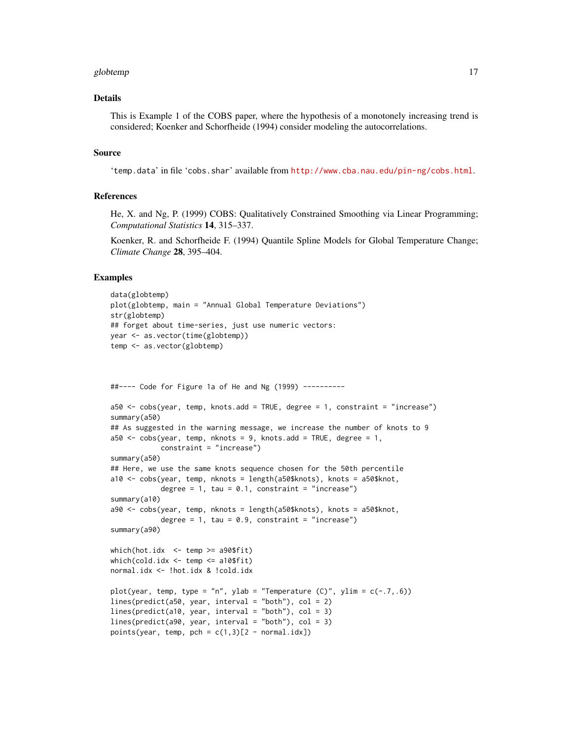#### globtemp and the state of the state of the state of the state of the state of the state of the state of the state of the state of the state of the state of the state of the state of the state of the state of the state of t

#### Details

This is Example 1 of the COBS paper, where the hypothesis of a monotonely increasing trend is considered; Koenker and Schorfheide (1994) consider modeling the autocorrelations.

#### Source

'temp.data' in file 'cobs.shar' available from <http://www.cba.nau.edu/pin-ng/cobs.html>.

#### References

He, X. and Ng, P. (1999) COBS: Qualitatively Constrained Smoothing via Linear Programming; *Computational Statistics* 14, 315–337.

Koenker, R. and Schorfheide F. (1994) Quantile Spline Models for Global Temperature Change; *Climate Change* 28, 395–404.

#### Examples

```
data(globtemp)
plot(globtemp, main = "Annual Global Temperature Deviations")
str(globtemp)
## forget about time-series, just use numeric vectors:
year <- as.vector(time(globtemp))
temp <- as.vector(globtemp)
##---- Code for Figure 1a of He and Ng (1999) ----------
a50 <- cobs(year, temp, knots.add = TRUE, degree = 1, constraint = "increase")
summary(a50)
## As suggested in the warning message, we increase the number of knots to 9
a50 \leq -cobs(year, temp, nknots = 9, knots.add = TRUE, degree = 1,constraint = "increase")
summary(a50)
## Here, we use the same knots sequence chosen for the 50th percentile
a10 <- cobs(year, temp, nknots = length(a50$knots), knots = a50$knot,
            degree = 1, tau = 0.1, constraint = "increase")
summary(a10)
a90 <- cobs(year, temp, nknots = length(a50$knots), knots = a50$knot,
            degree = 1, tau = 0.9, constraint = "increase")
summary(a90)
which(hot.idx <- temp >= a90$fit)
which(cold.idx \leq temp \leq a10$fit)
normal.idx <- !hot.idx & !cold.idx
plot(year, temp, type = "n", ylab = "Temperature (C)", ylim = c(-.7, .6))
lines(predict(a50, year, interval = "both"), col = 2)
lines(predict(a10, year, interval = "both"), col = 3)
lines(predict(a90, year, interval = "both"), col = 3)points(year, temp, pch = c(1,3)[2 - normal.idx])
```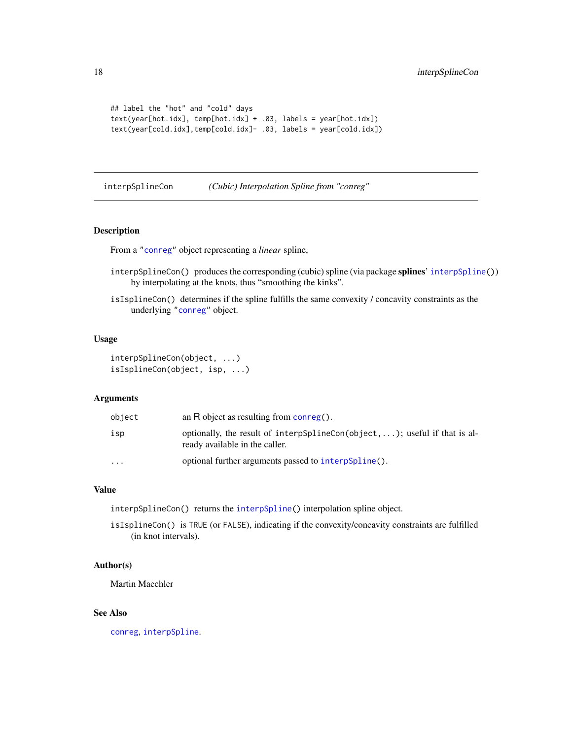```
## label the "hot" and "cold" days
text(year[hot.idx], temp[hot.idx] + .03, labels = year[hot.idx])
text(year[cold.idx],temp[cold.idx]- .03, labels = year[cold.idx])
```
<span id="page-17-1"></span>interpSplineCon *(Cubic) Interpolation Spline from "conreg"*

# <span id="page-17-2"></span>Description

From a ["conreg"](#page-6-1) object representing a *linear* spline,

- interpSplineCon() produces the corresponding (cubic) spline (via package splines' [interpSpline\(](#page-0-0))) by interpolating at the knots, thus "smoothing the kinks".
- isIsplineCon() determines if the spline fulfills the same convexity / concavity constraints as the underlying ["conreg"](#page-6-1) object.

#### Usage

```
interpSplineCon(object, ...)
isIsplineCon(object, isp, ...)
```
#### Arguments

| object                  | an R object as resulting from $\overline{\text{conreg}}$ .                                                   |
|-------------------------|--------------------------------------------------------------------------------------------------------------|
| isp                     | optionally, the result of interpSplineCon(object, ); useful if that is al-<br>ready available in the caller. |
| $\cdot$ $\cdot$ $\cdot$ | optional further arguments passed to interpspline().                                                         |

#### Value

interpSplineCon() returns the [interpSpline\(](#page-0-0)) interpolation spline object.

isIsplineCon() is TRUE (or FALSE), indicating if the convexity/concavity constraints are fulfilled (in knot intervals).

# Author(s)

Martin Maechler

#### See Also

[conreg](#page-6-1), [interpSpline](#page-0-0).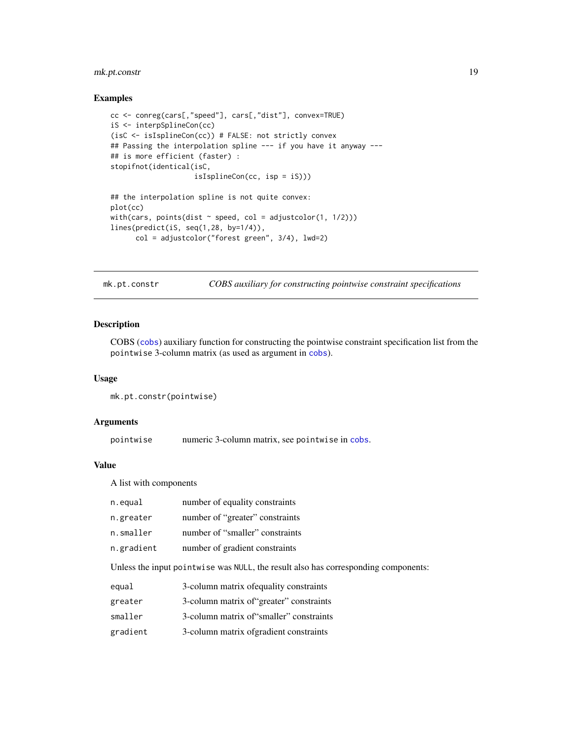# <span id="page-18-0"></span>mk.pt.constr 19

#### Examples

```
cc <- conreg(cars[,"speed"], cars[,"dist"], convex=TRUE)
iS <- interpSplineCon(cc)
(isC <- isIsplineCon(cc)) # FALSE: not strictly convex
## Passing the interpolation spline --- if you have it anyway ---
## is more efficient (faster) :
stopifnot(identical(isC,
                    isIsplineCon(cc, isp = iS)))
## the interpolation spline is not quite convex:
plot(cc)
with(cars, points(dist ~ speed, col = adjustcolor(1, 1/2)))
lines(predict(iS, seq(1,28, by=1/4)),
      col = adjustcolor("forest green", 3/4), lwd=2)
```
mk.pt.constr *COBS auxiliary for constructing pointwise constraint specifications*

# Description

COBS ([cobs](#page-1-1)) auxiliary function for constructing the pointwise constraint specification list from the pointwise 3-column matrix (as used as argument in [cobs](#page-1-1)).

#### Usage

```
mk.pt.constr(pointwise)
```
# **Arguments**

pointwise numeric 3-column matrix, see pointwise in [cobs](#page-1-1).

#### Value

A list with components

| n.equal    | number of equality constraints  |
|------------|---------------------------------|
| n.greater  | number of "greater" constraints |
| n.smaller  | number of "smaller" constraints |
| n.gradient | number of gradient constraints  |

Unless the input pointwise was NULL, the result also has corresponding components:

```
equal 3-column matrix ofequality constraints
```
- greater 3-column matrix of"greater" constraints
- smaller 3-column matrix of "smaller" constraints
- gradient 3-column matrix ofgradient constraints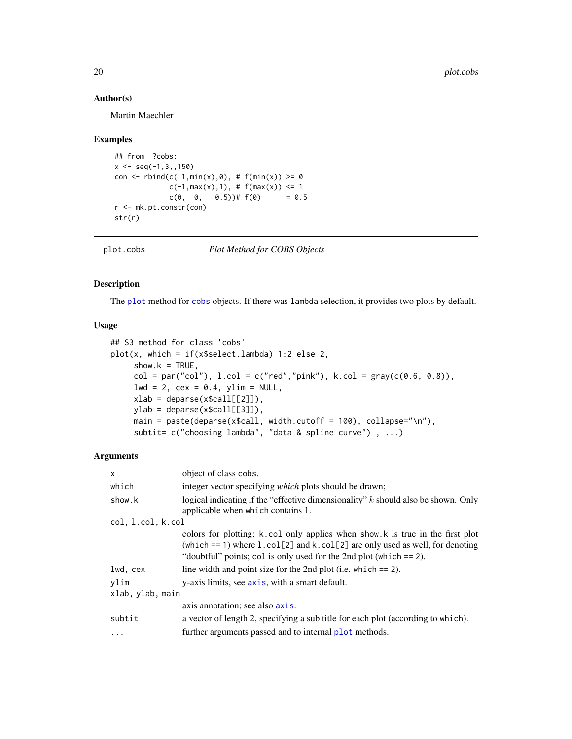# Author(s)

Martin Maechler

#### Examples

```
## from ?cobs:
x \leq -\text{seq}(-1, 3, 150)con \le rbind(c( 1,min(x),0), # f(min(x)) \ge 0
             c(-1,max(x),1), # f(max(x)) \le 1c(0, 0, 0.5))# f(0) = 0.5r <- mk.pt.constr(con)
str(r)
```

```
plot.cobs Plot Method for COBS Objects
```
# Description

The [plot](#page-0-0) method for [cobs](#page-1-1) objects. If there was lambda selection, it provides two plots by default.

### Usage

```
## S3 method for class 'cobs'
plot(x, which = if(x$select.lambda) 1:2 else 2,
     show.k = TRUE,col = par("col"), 1,col = c("red", "pink"), k,col = gray(c(0.6, 0.8)),lwd = 2, cex = 0.4, ylim = NULL,
     xlab = deparse(x$call[[2]]),ylab = deparse(x$call[[3]]),
     main = paste(deparse(x$call, width.cutoff = 100), collapse="\n"),
     subtit= c("choosing lambda", "data & spline curve") , ...)
```

| $\mathsf{x}$      | object of class cobs.                                                                                                                                                                                                                    |
|-------------------|------------------------------------------------------------------------------------------------------------------------------------------------------------------------------------------------------------------------------------------|
| which             | integer vector specifying <i>which</i> plots should be drawn;                                                                                                                                                                            |
| show.k            | logical indicating if the "effective dimensionality" $k$ should also be shown. Only<br>applicable when which contains 1.                                                                                                                 |
| col, 1.col, k.col |                                                                                                                                                                                                                                          |
|                   | colors for plotting; k.col only applies when show.k is true in the first plot<br>(which $== 1$ ) where 1. col[2] and k. col[2] are only used as well, for denoting<br>"doubtful" points; col is only used for the 2nd plot (which == 2). |
| lwd, cex          | line width and point size for the 2nd plot (i.e. which $== 2$ ).                                                                                                                                                                         |
| vlim              | y-axis limits, see axis, with a smart default.                                                                                                                                                                                           |
| xlab, ylab, main  |                                                                                                                                                                                                                                          |
|                   | axis annotation; see also axis.                                                                                                                                                                                                          |
| subtit            | a vector of length 2, specifying a sub title for each plot (according to which).                                                                                                                                                         |
| $\ddots$          | further arguments passed and to internal plot methods.                                                                                                                                                                                   |

<span id="page-19-0"></span>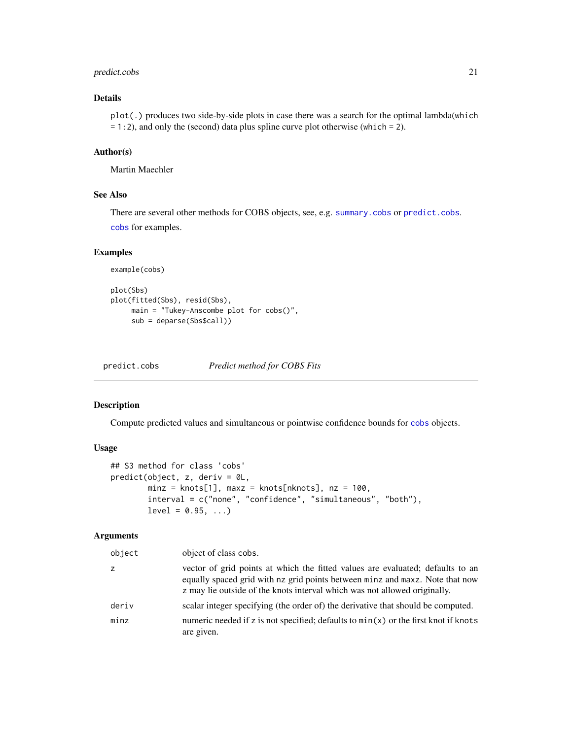# <span id="page-20-0"></span>predict.cobs 21

# Details

plot(.) produces two side-by-side plots in case there was a search for the optimal lambda(which = 1:2), and only the (second) data plus spline curve plot otherwise (which = 2).

#### Author(s)

Martin Maechler

# See Also

There are several other methods for COBS objects, see, e.g. [summary.cobs](#page-5-1) or [predict.cobs](#page-20-1). [cobs](#page-1-1) for examples.

# Examples

```
example(cobs)
```

```
plot(Sbs)
plot(fitted(Sbs), resid(Sbs),
    main = "Tukey-Anscombe plot for cobs()",
    sub = deparse(Sbs$call))
```
<span id="page-20-1"></span>predict.cobs *Predict method for COBS Fits*

# Description

Compute predicted values and simultaneous or pointwise confidence bounds for [cobs](#page-1-1) objects.

#### Usage

```
## S3 method for class 'cobs'
predict(object, z, deriv = 0L,
       minz = knots[1], max = knots[nknots], nz = 100,interval = c("none", "confidence", "simultaneous", "both"),
       level = 0.95, ...
```

| object | object of class cobs.                                                                                                                                                                                                                       |
|--------|---------------------------------------------------------------------------------------------------------------------------------------------------------------------------------------------------------------------------------------------|
| z      | vector of grid points at which the fitted values are evaluated; defaults to an<br>equally spaced grid with nz grid points between minz and maxz. Note that now<br>z may lie outside of the knots interval which was not allowed originally. |
| deriv  | scalar integer specifying (the order of) the derivative that should be computed.                                                                                                                                                            |
| minz   | numeric needed if z is not specified; defaults to $min(x)$ or the first knot if knots<br>are given.                                                                                                                                         |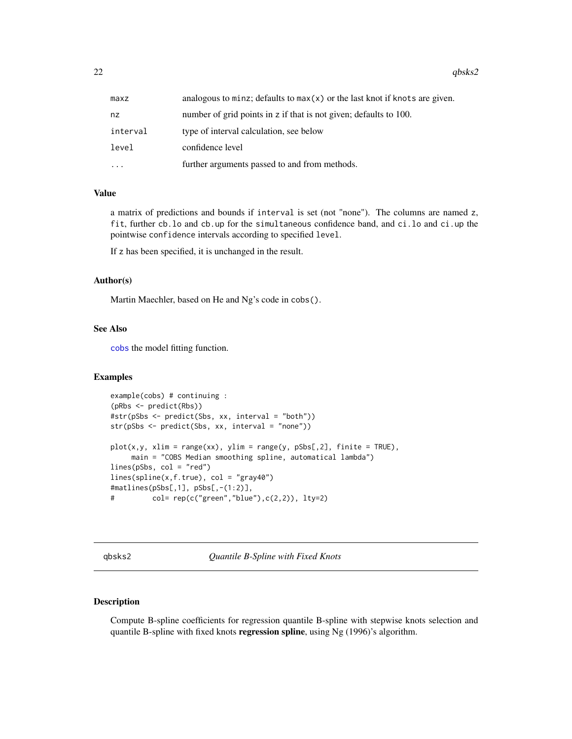<span id="page-21-0"></span>22 and  $q$ bsks2 and  $q$ bsks2 and  $q$ bsks2 and  $q$ bsks2 and  $q$ bsks2 and  $q$ bsks2 and  $q$ bsks2 and  $q$ bsks2 and  $q$ bsks2 and  $q$ 

| maxz     | analogous to minz; defaults to $max(x)$ or the last knot if knots are given. |
|----------|------------------------------------------------------------------------------|
| nz       | number of grid points in z if that is not given; defaults to 100.            |
| interval | type of interval calculation, see below                                      |
| level    | confidence level                                                             |
| $\ddots$ | further arguments passed to and from methods.                                |

#### Value

a matrix of predictions and bounds if interval is set (not "none"). The columns are named z, fit, further cb.lo and cb.up for the simultaneous confidence band, and ci.lo and ci.up the pointwise confidence intervals according to specified level.

If z has been specified, it is unchanged in the result.

#### Author(s)

Martin Maechler, based on He and Ng's code in cobs().

# See Also

[cobs](#page-1-1) the model fitting function.

#### Examples

```
example(cobs) # continuing :
(pRbs <- predict(Rbs))
#str(pSbs <- predict(Sbs, xx, interval = "both"))
str(pSbs <- predict(Sbs, xx, interval = "none"))
plot(x, y, xlim = range(xx), ylim = range(y, pSbs[, 2], finite = TRUE),main = "COBS Median smoothing spline, automatical lambda")
lines(pSbs, col = "red")
lines(spline(x,f.true), col = "gray40")
#matlines(pSbs[,1], pSbs[,-(1:2)],
# col= rep(c("green","blue"),c(2,2)), lty=2)
```
<span id="page-21-1"></span>qbsks2 *Quantile B-Spline with Fixed Knots*

# Description

Compute B-spline coefficients for regression quantile B-spline with stepwise knots selection and quantile B-spline with fixed knots regression spline, using Ng (1996)'s algorithm.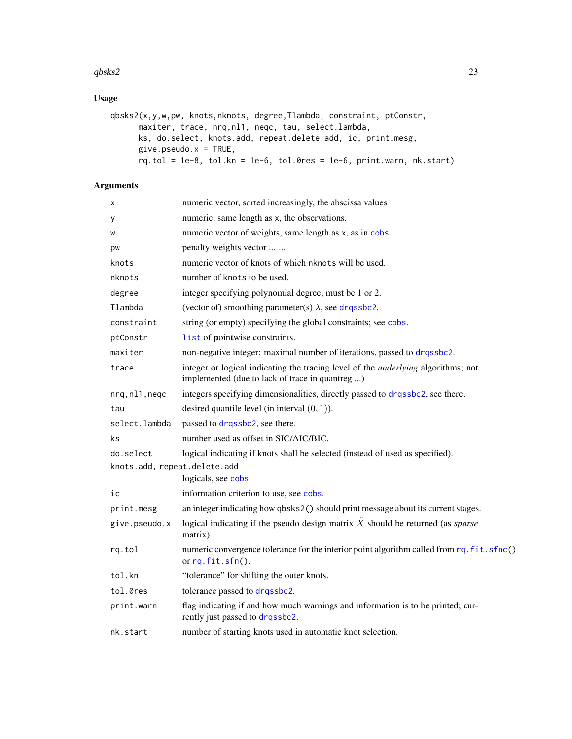#### <span id="page-22-0"></span> $q_{\rm b8k52}$  and  $q_{\rm b8k52}$  23

# Usage

```
qbsks2(x,y,w,pw, knots,nknots, degree,Tlambda, constraint, ptConstr,
     maxiter, trace, nrq,nl1, neqc, tau, select.lambda,
     ks, do.select, knots.add, repeat.delete.add, ic, print.mesg,
     give.pseudo.x = TRUE,
     rq.tol = 1e-8, tol.kn = 1e-6, tol.0res = 1e-6, print.wan, nk. start)
```

| х                            | numeric vector, sorted increasingly, the abscissa values                                                                                    |
|------------------------------|---------------------------------------------------------------------------------------------------------------------------------------------|
| у                            | numeric, same length as x, the observations.                                                                                                |
| W                            | numeric vector of weights, same length as x, as in cobs.                                                                                    |
| pw                           | penalty weights vector                                                                                                                      |
| knots                        | numeric vector of knots of which nknots will be used.                                                                                       |
| nknots                       | number of knots to be used.                                                                                                                 |
| degree                       | integer specifying polynomial degree; must be 1 or 2.                                                                                       |
| Tlambda                      | (vector of) smoothing parameter(s) $\lambda$ , see drassbc2.                                                                                |
| constraint                   | string (or empty) specifying the global constraints; see cobs.                                                                              |
| ptConstr                     | list of pointwise constraints.                                                                                                              |
| maxiter                      | non-negative integer: maximal number of iterations, passed to drqssbc2.                                                                     |
| trace                        | integer or logical indicating the tracing level of the <i>underlying</i> algorithms; not<br>implemented (due to lack of trace in quantreg ) |
| nrq, nl1, neqc               | integers specifying dimensionalities, directly passed to drqssbc2, see there.                                                               |
| tau                          | desired quantile level (in interval $(0, 1)$ ).                                                                                             |
| select.lambda                | passed to drqssbc2, see there.                                                                                                              |
| ks                           | number used as offset in SIC/AIC/BIC.                                                                                                       |
| do.select                    | logical indicating if knots shall be selected (instead of used as specified).                                                               |
| knots.add, repeat.delete.add |                                                                                                                                             |
|                              | logicals, see cobs.                                                                                                                         |
| iс                           | information criterion to use, see cobs.                                                                                                     |
| print.mesg                   | an integer indicating how qbsks2() should print message about its current stages.                                                           |
| give.pseudo.x                | logical indicating if the pseudo design matrix $\tilde{X}$ should be returned (as <i>sparse</i><br>matrix).                                 |
| rq.tol                       | numeric convergence tolerance for the interior point algorithm called from rq. fit.sfnc()<br>or $rq.fit.sfn()$ .                            |
| tol.kn                       | "tolerance" for shifting the outer knots.                                                                                                   |
| tol.0res                     | tolerance passed to drqssbc2.                                                                                                               |
| print.warn                   | flag indicating if and how much warnings and information is to be printed; cur-<br>rently just passed to drqssbc2.                          |
| nk.start                     | number of starting knots used in automatic knot selection.                                                                                  |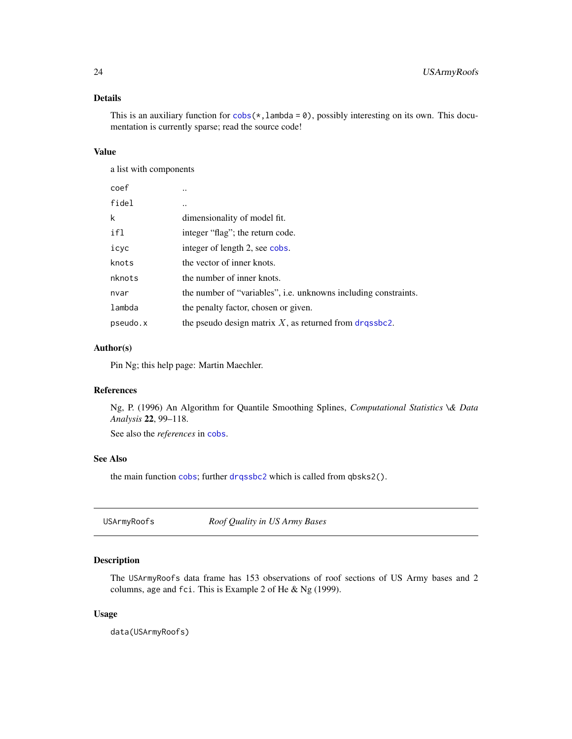# <span id="page-23-0"></span>Details

This is an auxiliary function for  $cobs(*,lambda = 0)$  $cobs(*,lambda = 0)$ , possibly interesting on its own. This documentation is currently sparse; read the source code!

# Value

a list with components

| coef     |                                                                 |
|----------|-----------------------------------------------------------------|
| fidel    |                                                                 |
| k        | dimensionality of model fit.                                    |
| ifl      | integer "flag"; the return code.                                |
| icyc     | integer of length 2, see cobs.                                  |
| knots    | the vector of inner knots.                                      |
| nknots   | the number of inner knots.                                      |
| nvar     | the number of "variables", i.e. unknowns including constraints. |
| lambda   | the penalty factor, chosen or given.                            |
| pseudo.x | the pseudo design matrix $X$ , as returned from drassbc2.       |

#### Author(s)

Pin Ng; this help page: Martin Maechler.

# References

Ng, P. (1996) An Algorithm for Quantile Smoothing Splines, *Computational Statistics \& Data Analysis* 22, 99–118.

See also the *references* in [cobs](#page-1-1).

# See Also

the main function [cobs](#page-1-1); further [drqssbc2](#page-10-1) which is called from qbsks2().

USArmyRoofs *Roof Quality in US Army Bases*

# Description

The USArmyRoofs data frame has 153 observations of roof sections of US Army bases and 2 columns, age and fci. This is Example 2 of He & Ng (1999).

#### Usage

data(USArmyRoofs)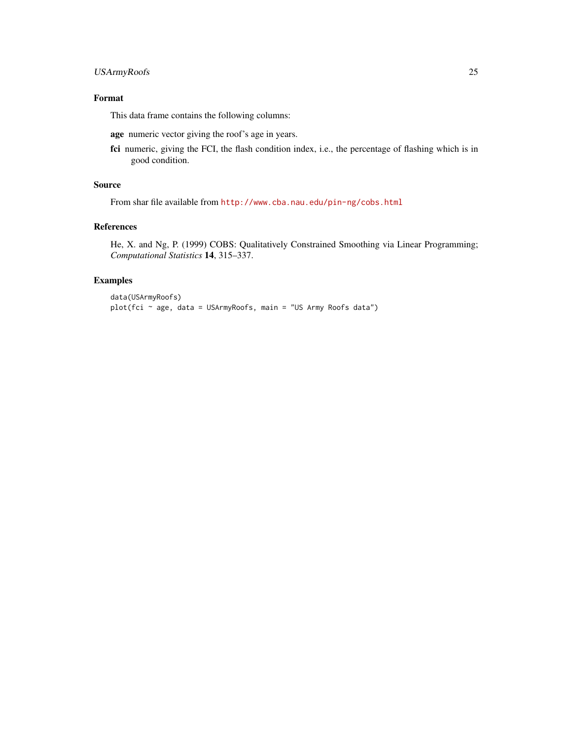# Format

This data frame contains the following columns:

age numeric vector giving the roof's age in years.

fci numeric, giving the FCI, the flash condition index, i.e., the percentage of flashing which is in good condition.

# Source

From shar file available from <http://www.cba.nau.edu/pin-ng/cobs.html>

#### References

He, X. and Ng, P. (1999) COBS: Qualitatively Constrained Smoothing via Linear Programming; *Computational Statistics* 14, 315–337.

#### Examples

```
data(USArmyRoofs)
plot(fci ~ age, data = USArmyRoofs, main = "US Army Roofs data")
```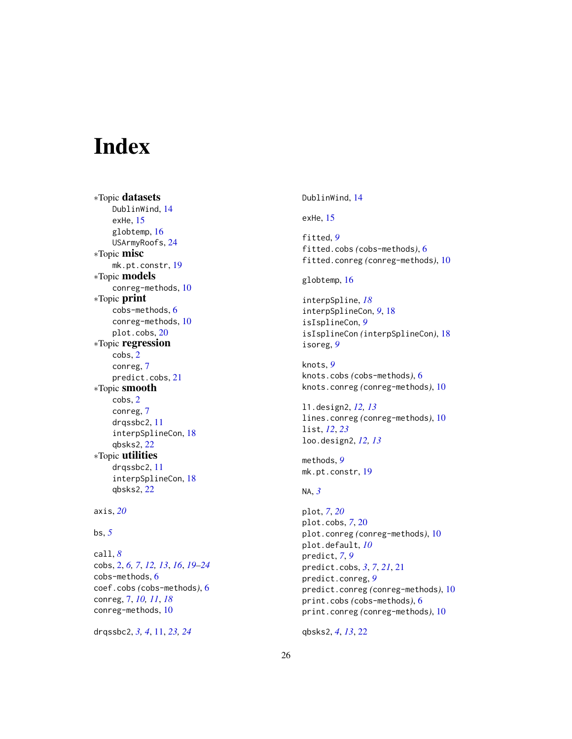# <span id="page-25-0"></span>Index

∗Topic datasets DublinWind, [14](#page-13-0) exHe, [15](#page-14-0) globtemp, [16](#page-15-0) USArmyRoofs, [24](#page-23-0) ∗Topic misc mk.pt.constr, [19](#page-18-0) ∗Topic models conreg-methods, [10](#page-9-0) ∗Topic print cobs-methods, [6](#page-5-0) conreg-methods, [10](#page-9-0) plot.cobs, [20](#page-19-0) ∗Topic regression cobs, [2](#page-1-0) conreg, [7](#page-6-0) predict.cobs, [21](#page-20-0) ∗Topic smooth cobs, [2](#page-1-0) conreg, [7](#page-6-0) drqssbc2, [11](#page-10-0) interpSplineCon, [18](#page-17-0) qbsks2, [22](#page-21-0) ∗Topic utilities drqssbc2, [11](#page-10-0) interpSplineCon, [18](#page-17-0) qbsks2, [22](#page-21-0)

```
axis, 20
```
# bs, *[5](#page-4-0)*

call, *[8](#page-7-0)* cobs, [2,](#page-1-0) *[6,](#page-5-0) [7](#page-6-0)*, *[12,](#page-11-0) [13](#page-12-0)*, *[16](#page-15-0)*, *[19–](#page-18-0)[24](#page-23-0)* cobs-methods, [6](#page-5-0) coef.cobs *(*cobs-methods*)*, [6](#page-5-0) conreg, [7,](#page-6-0) *[10,](#page-9-0) [11](#page-10-0)*, *[18](#page-17-0)* conreg-methods, [10](#page-9-0)

drqssbc2, *[3,](#page-2-0) [4](#page-3-0)*, [11,](#page-10-0) *[23,](#page-22-0) [24](#page-23-0)*

DublinWind, [14](#page-13-0)

exHe, [15](#page-14-0)

fitted, *[9](#page-8-0)* fitted.cobs *(*cobs-methods*)*, [6](#page-5-0) fitted.conreg *(*conreg-methods*)*, [10](#page-9-0)

globtemp, [16](#page-15-0)

interpSpline, *[18](#page-17-0)* interpSplineCon, *[9](#page-8-0)*, [18](#page-17-0) isIsplineCon, *[9](#page-8-0)* isIsplineCon *(*interpSplineCon*)*, [18](#page-17-0) isoreg, *[9](#page-8-0)*

knots, *[9](#page-8-0)* knots.cobs *(*cobs-methods*)*, [6](#page-5-0) knots.conreg *(*conreg-methods*)*, [10](#page-9-0)

l1.design2, *[12,](#page-11-0) [13](#page-12-0)* lines.conreg *(*conreg-methods*)*, [10](#page-9-0) list, *[12](#page-11-0)*, *[23](#page-22-0)* loo.design2, *[12,](#page-11-0) [13](#page-12-0)*

methods, *[9](#page-8-0)* mk.pt.constr, [19](#page-18-0)

# NA, *[3](#page-2-0)*

plot, *[7](#page-6-0)*, *[20](#page-19-0)* plot.cobs, *[7](#page-6-0)*, [20](#page-19-0) plot.conreg *(*conreg-methods*)*, [10](#page-9-0) plot.default, *[10](#page-9-0)* predict, *[7](#page-6-0)*, *[9](#page-8-0)* predict.cobs, *[3](#page-2-0)*, *[7](#page-6-0)*, *[21](#page-20-0)*, [21](#page-20-0) predict.conreg, *[9](#page-8-0)* predict.conreg *(*conreg-methods*)*, [10](#page-9-0) print.cobs *(*cobs-methods*)*, [6](#page-5-0) print.conreg *(*conreg-methods*)*, [10](#page-9-0)

qbsks2, *[4](#page-3-0)*, *[13](#page-12-0)*, [22](#page-21-0)